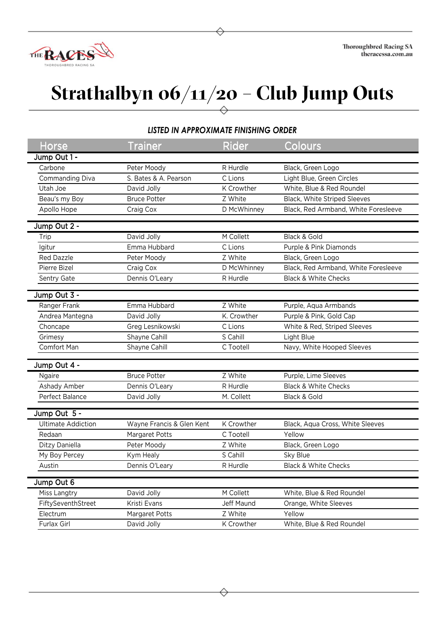

## **Strathalbyn 06/11/20 – Club Jump Outs**

## *LISTED IN APPROXIMATE FINISHING ORDER*

| Horse                     | <b>Trainer</b>            | Rider       | Colours                              |
|---------------------------|---------------------------|-------------|--------------------------------------|
| Jump Out 1 -              |                           |             |                                      |
| Carbone                   | Peter Moody               | R Hurdle    | Black, Green Logo                    |
| Commanding Diva           | S. Bates & A. Pearson     | C Lions     | Light Blue, Green Circles            |
| Utah Joe                  | David Jolly               | K Crowther  | White, Blue & Red Roundel            |
| Beau's my Boy             | <b>Bruce Potter</b>       | Z White     | Black, White Striped Sleeves         |
| Apollo Hope               | Craig Cox                 | D McWhinney | Black, Red Armband, White Foresleeve |
| Jump Out 2 -              |                           |             |                                      |
| Trip                      | David Jolly               | M Collett   | Black & Gold                         |
| lgitur                    | Emma Hubbard              | C Lions     | Purple & Pink Diamonds               |
| <b>Red Dazzle</b>         | Peter Moody               | Z White     | Black, Green Logo                    |
| Pierre Bizel              | Craig Cox                 | D McWhinney | Black, Red Armband, White Foresleeve |
| Sentry Gate               | Dennis O'Leary            | R Hurdle    | <b>Black &amp; White Checks</b>      |
|                           |                           |             |                                      |
| Jump Out 3 -              |                           |             |                                      |
| Ranger Frank              | Emma Hubbard              | Z White     | Purple, Aqua Armbands                |
| Andrea Mantegna           | David Jolly               | K. Crowther | Purple & Pink, Gold Cap              |
| Choncape                  | Greg Lesnikowski          | C Lions     | White & Red, Striped Sleeves         |
| Grimesy                   | Shayne Cahill             | S Cahill    | Light Blue                           |
| Comfort Man               | Shayne Cahill             | C Tootell   | Navy, White Hooped Sleeves           |
|                           |                           |             |                                      |
| Jump Out 4 -              |                           |             |                                      |
| Ngaire                    | <b>Bruce Potter</b>       | Z White     | Purple, Lime Sleeves                 |
| Ashady Amber              | Dennis O'Leary            | R Hurdle    | <b>Black &amp; White Checks</b>      |
| Perfect Balance           | David Jolly               | M. Collett  | Black & Gold                         |
| Jump Out 5 -              |                           |             |                                      |
| <b>Ultimate Addiction</b> | Wayne Francis & Glen Kent | K Crowther  | Black, Aqua Cross, White Sleeves     |
| Redaan                    | Margaret Potts            | C Tootell   | Yellow                               |
| Ditzy Daniella            | Peter Moody               | Z White     | Black, Green Logo                    |
| My Boy Percey             | Kym Healy                 | S Cahill    | Sky Blue                             |
| Austin                    | Dennis O'Leary            | R Hurdle    | <b>Black &amp; White Checks</b>      |
|                           |                           |             |                                      |
| Jump Out 6                |                           |             |                                      |
| Miss Langtry              | David Jolly               | M Collett   | White, Blue & Red Roundel            |
| FiftySeventhStreet        | Kristi Evans              | Jeff Maund  | Orange, White Sleeves                |
| Electrum                  | Margaret Potts            | Z White     | Yellow                               |
| Furlax Girl               | David Jolly               | K Crowther  | White, Blue & Red Roundel            |